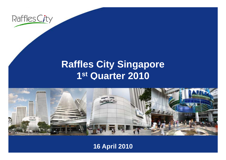

## **R ffl Cit Si affles City Singapore 1st Quarter 2010**



**16 April 2010**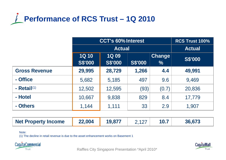

|                      | <b>CCT's 60% Interest</b>      |                               |                | <b>RCS Trust 100%</b>          |                |
|----------------------|--------------------------------|-------------------------------|----------------|--------------------------------|----------------|
|                      |                                | <b>Actual</b>                 |                |                                | <b>Actual</b>  |
|                      | <b>1Q 10</b><br><b>S\$'000</b> | <b>1Q09</b><br><b>S\$'000</b> | <b>S\$'000</b> | <b>Change</b><br>$\frac{0}{0}$ | <b>S\$'000</b> |
| <b>Gross Revenue</b> | 29,995                         | 28,729                        | 1,266          | 4.4                            | 49,991         |
| - Office             | 5,682                          | 5,185                         | 497            | 9.6                            | 9,469          |
| - Retail $(1)$       | 12,502                         | 12,595                        | (93)           | (0.7)                          | 20,836         |
| - Hotel              | 10,667                         | 9,838                         | 829            | 8.4                            | 17,779         |
| - Others             | 1,144                          | 1,111                         | 33             | 2.9                            | 1,907          |

| <b>Net Property Income</b> | 22,004 | 19,877 |  |  | 36.673 |  |
|----------------------------|--------|--------|--|--|--------|--|
|----------------------------|--------|--------|--|--|--------|--|

#### Note:

(1) The decline in retail revenue is due to the asset enhancement works on Basement 1





Raffles City Singapore Presentation \*April 2010\*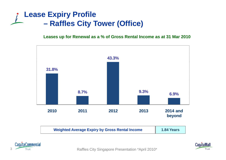### **Lease Expiry Profile –Raffles City Tower (Office)**

**Leases up for Renewal as a % of Gross Rental Income as at 31 Mar 2010**



| <b>Weighted Average Expiry by Gross Rental Income</b> | 1.84 Years |
|-------------------------------------------------------|------------|
|-------------------------------------------------------|------------|





Raffles City Singapore Presentation \*April 2010\* <sup>3</sup> Raffles City Singapore Presentation \*April 2010\*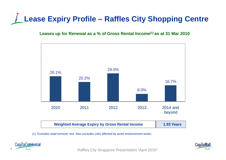## **Lease Expiry Profile – Raffles City Shopping Centre**

#### **Leases up for Renewal as a % of Gross Rental Income(1) as at 31 Mar 2010**



(1) Excludes retail turnover rent. Also excludes units affected by asset enhancement works.





Raffles City Singapore Presentation \*April 2010\*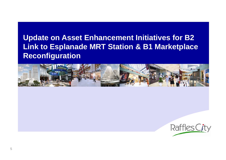### **Update on Asset Enhancement Initiatives for B2 Link to Esplanade MRT Station & B1 Marketplace Reconfiguration**



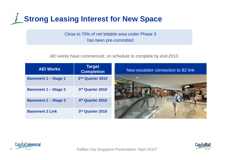

Close to 70% of net lettable area under Phase 3 has been pre-committed

AEI works have commenced; on schedule to complete by end-2010

| <b>AEI Works</b>            | <b>Target</b><br><b>Completion</b> | New escalator connection to B2 link |
|-----------------------------|------------------------------------|-------------------------------------|
| <b>Basement 1 - Stage 1</b> | 2nd Quarter 2010                   |                                     |
| <b>Basement 1 - Stage 2</b> | 3rd Quarter 2010                   |                                     |
| <b>Basement 1 - Stage 3</b> | 4th Quarter 2010                   |                                     |
| <b>Basement 2 Link</b>      | 3rd Quarter 2010                   |                                     |





Raffles City Singapore Presentation \*April 2010\* Raffles City Singapore Presentation \*April 2010\*